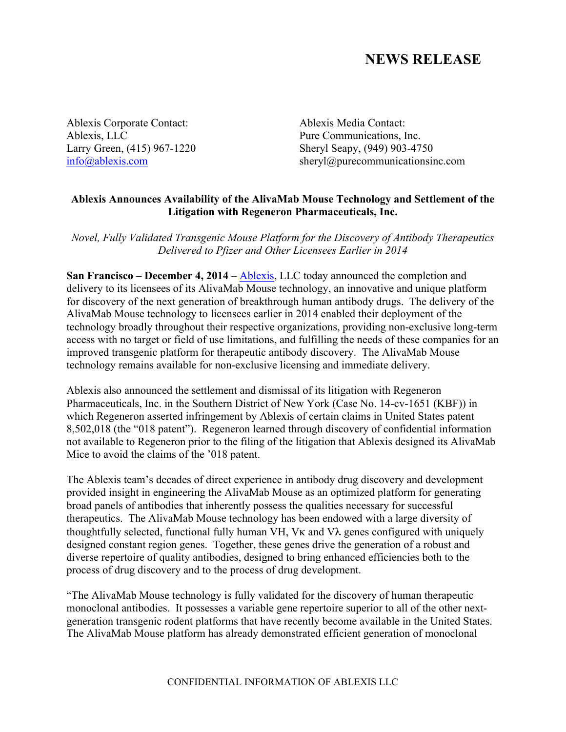## **NEWS RELEASE**

Ablexis Corporate Contact: Ablexis Media Contact: Ablexis, LLC Pure Communications, Inc.

Larry Green, (415) 967-1220 Sheryl Seapy, (949) 903-4750 info@ablexis.com sheryl@purecommunicationsinc.com

## **Ablexis Announces Availability of the AlivaMab Mouse Technology and Settlement of the Litigation with Regeneron Pharmaceuticals, Inc.**

*Novel, Fully Validated Transgenic Mouse Platform for the Discovery of Antibody Therapeutics Delivered to Pfizer and Other Licensees Earlier in 2014*

**San Francisco – December 4, 2014** – Ablexis, LLC today announced the completion and delivery to its licensees of its AlivaMab Mouse technology, an innovative and unique platform for discovery of the next generation of breakthrough human antibody drugs. The delivery of the AlivaMab Mouse technology to licensees earlier in 2014 enabled their deployment of the technology broadly throughout their respective organizations, providing non-exclusive long-term access with no target or field of use limitations, and fulfilling the needs of these companies for an improved transgenic platform for therapeutic antibody discovery. The AlivaMab Mouse technology remains available for non-exclusive licensing and immediate delivery.

Ablexis also announced the settlement and dismissal of its litigation with Regeneron Pharmaceuticals, Inc. in the Southern District of New York (Case No. 14-cv-1651 (KBF)) in which Regeneron asserted infringement by Ablexis of certain claims in United States patent 8,502,018 (the "018 patent"). Regeneron learned through discovery of confidential information not available to Regeneron prior to the filing of the litigation that Ablexis designed its AlivaMab Mice to avoid the claims of the '018 patent.

The Ablexis team's decades of direct experience in antibody drug discovery and development provided insight in engineering the AlivaMab Mouse as an optimized platform for generating broad panels of antibodies that inherently possess the qualities necessary for successful therapeutics. The AlivaMab Mouse technology has been endowed with a large diversity of thoughtfully selected, functional fully human VH, Vκ and Vλ genes configured with uniquely designed constant region genes. Together, these genes drive the generation of a robust and diverse repertoire of quality antibodies, designed to bring enhanced efficiencies both to the process of drug discovery and to the process of drug development.

"The AlivaMab Mouse technology is fully validated for the discovery of human therapeutic monoclonal antibodies. It possesses a variable gene repertoire superior to all of the other nextgeneration transgenic rodent platforms that have recently become available in the United States. The AlivaMab Mouse platform has already demonstrated efficient generation of monoclonal